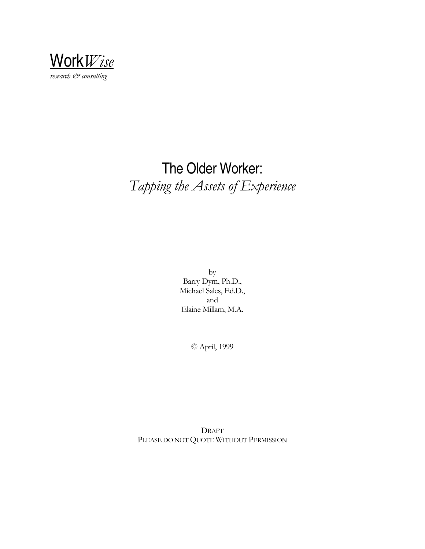

# The Older Worker: *Tapping the Assets of Experience*

by Barry Dym, Ph.D., Michael Sales, Ed.D., and Elaine Millam, M.A.

© April, 1999

**DRAFT** PLEASE DO NOT QUOTE WITHOUT PERMISSION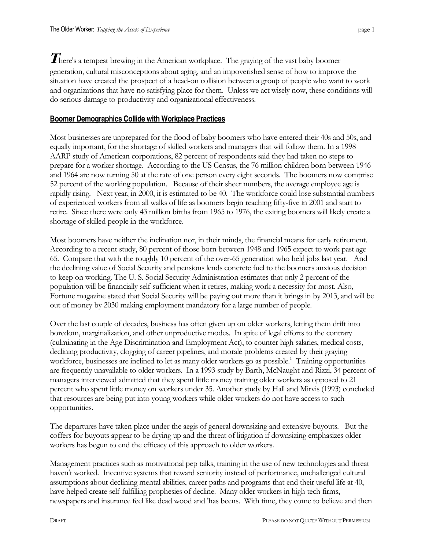$\boldsymbol{T}$ here's a tempest brewing in the American workplace. The graying of the vast baby boomer generation, cultural misconceptions about aging, and an impoverished sense of how to improve the situation have created the prospect of a head-on collision between a group of people who want to work and organizations that have no satisfying place for them. Unless we act wisely now, these conditions will do serious damage to productivity and organizational effectiveness.

#### **Boomer Demographics Collide with Workplace Practices**

Most businesses are unprepared for the flood of baby boomers who have entered their 40s and 50s, and equally important, for the shortage of skilled workers and managers that will follow them. In a 1998 AARP study of American corporations, 82 percent of respondents said they had taken no steps to prepare for a worker shortage. According to the US Census, the 76 million children born between 1946 and 1964 are now turning 50 at the rate of one person every eight seconds. The boomers now comprise 52 percent of the working population. Because of their sheer numbers, the average employee age is rapidly rising. Next year, in 2000, it is estimated to be 40. The workforce could lose substantial numbers of experienced workers from all walks of life as boomers begin reaching fifty-five in 2001 and start to retire. Since there were only 43 million births from 1965 to 1976, the exiting boomers will likely create a shortage of skilled people in the workforce.

Most boomers have neither the inclination nor, in their minds, the financial means for early retirement. According to a recent study, 80 percent of those born between 1948 and 1965 expect to work past age 65. Compare that with the roughly 10 percent of the over-65 generation who held jobs last year. And the declining value of Social Security and pensions lends concrete fuel to the boomers anxious decision to keep on working. The U. S. Social Security Administration estimates that only 2 percent of the population will be financially self-sufficient when it retires, making work a necessity for most. Also, Fortune magazine stated that Social Security will be paying out more than it brings in by 2013, and will be out of money by 2030 making employment mandatory for a large number of people.

Over the last couple of decades, business has often given up on older workers, letting them drift into boredom, marginalization, and other unproductive modes. In spite of legal efforts to the contrary (culminating in the Age Discrimination and Employment Act), to counter high salaries, medical costs, declining productivity, clogging of career pipelines, and morale problems created by their graying workforce, businesses are inclined to let as many older workers go as possible.<sup>1</sup> Training opportunities are frequently unavailable to older workers. In a 1993 study by Barth, McNaught and Rizzi, 34 percent of managers interviewed admitted that they spent little money training older workers as opposed to 21 percent who spent little money on workers under 35. Another study by Hall and Mirvis (1993) concluded that resources are being put into young workers while older workers do not have access to such opportunities.

The departures have taken place under the aegis of general downsizing and extensive buyouts. But the coffers for buyouts appear to be drying up and the threat of litigation if downsizing emphasizes older workers has begun to end the efficacy of this approach to older workers.

Management practices such as motivational pep talks, training in the use of new technologies and threat haven't worked. Incentive systems that reward seniority instead of performance, unchallenged cultural assumptions about declining mental abilities, career paths and programs that end their useful life at 40, have helped create self-fulfilling prophesies of decline. Many older workers in high tech firms, newspapers and insurance feel like dead wood and 'has beens. With time, they come to believe and then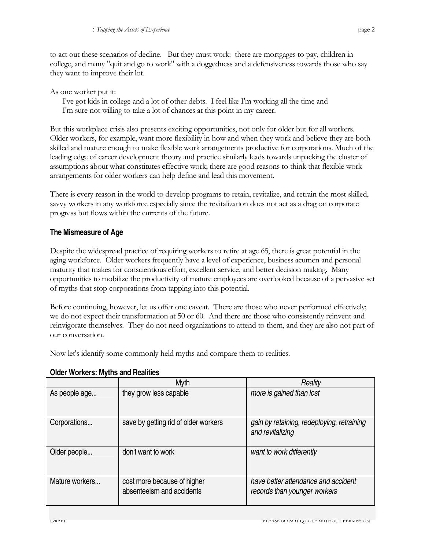to act out these scenarios of decline. But they must work: there are mortgages to pay, children in college, and many "quit and go to work" with a doggedness and a defensiveness towards those who say they want to improve their lot.

As one worker put it:

I've got kids in college and a lot of other debts. I feel like I'm working all the time and I'm sure not willing to take a lot of chances at this point in my career.

But this workplace crisis also presents exciting opportunities, not only for older but for all workers. Older workers, for example, want more flexibility in how and when they work and believe they are both skilled and mature enough to make flexible work arrangements productive for corporations. Much of the leading edge of career development theory and practice similarly leads towards unpacking the cluster of assumptions about what constitutes effective work; there are good reasons to think that flexible work arrangements for older workers can help define and lead this movement.

There is every reason in the world to develop programs to retain, revitalize, and retrain the most skilled, savvy workers in any workforce especially since the revitalization does not act as a drag on corporate progress but flows within the currents of the future.

## **The Mismeasure of Age**

Despite the widespread practice of requiring workers to retire at age 65, there is great potential in the aging workforce. Older workers frequently have a level of experience, business acumen and personal maturity that makes for conscientious effort, excellent service, and better decision making. Many opportunities to mobilize the productivity of mature employees are overlooked because of a pervasive set of myths that stop corporations from tapping into this potential.

Before continuing, however, let us offer one caveat. There are those who never performed effectively; we do not expect their transformation at 50 or 60. And there are those who consistently reinvent and reinvigorate themselves. They do not need organizations to attend to them, and they are also not part of our conversation.

Now let's identify some commonly held myths and compare them to realities.

|                | Myth                                                     | Reality                                                             |
|----------------|----------------------------------------------------------|---------------------------------------------------------------------|
| As people age  | they grow less capable                                   | more is gained than lost                                            |
| Corporations   | save by getting rid of older workers                     | gain by retaining, redeploying, retraining<br>and revitalizing      |
| Older people   | don't want to work                                       | want to work differently                                            |
| Mature workers | cost more because of higher<br>absenteeism and accidents | have better attendance and accident<br>records than younger workers |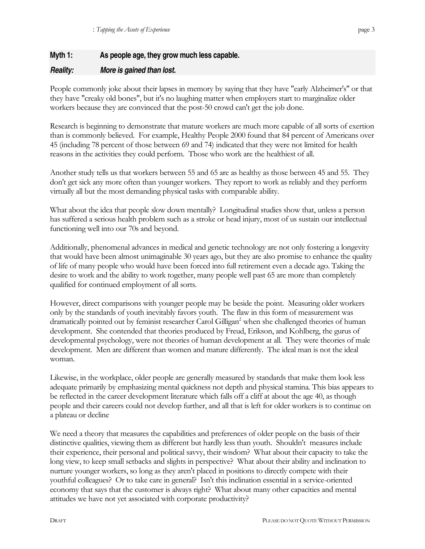## **Myth 1: As people age, they grow much less capable.**

## *Reality: More is gained than lost.*

People commonly joke about their lapses in memory by saying that they have "early Alzheimer's" or that they have "creaky old bones", but it's no laughing matter when employers start to marginalize older workers because they are convinced that the post-50 crowd can't get the job done.

Research is beginning to demonstrate that mature workers are much more capable of all sorts of exertion than is commonly believed. For example, Healthy People 2000 found that 84 percent of Americans over 45 (including 78 percent of those between 69 and 74) indicated that they were not limited for health reasons in the activities they could perform. Those who work are the healthiest of all.

Another study tells us that workers between 55 and 65 are as healthy as those between 45 and 55. They don't get sick any more often than younger workers. They report to work as reliably and they perform virtually all but the most demanding physical tasks with comparable ability.

What about the idea that people slow down mentally? Longitudinal studies show that, unless a person has suffered a serious health problem such as a stroke or head injury, most of us sustain our intellectual functioning well into our 70s and beyond.

Additionally, phenomenal advances in medical and genetic technology are not only fostering a longevity that would have been almost unimaginable 30 years ago, but they are also promise to enhance the quality of life of many people who would have been forced into full retirement even a decade ago. Taking the desire to work and the ability to work together, many people well past 65 are more than completely qualified for continued employment of all sorts.

However, direct comparisons with younger people may be beside the point. Measuring older workers only by the standards of youth inevitably favors youth. The flaw in this form of measurement was dramatically pointed out by feminist researcher Carol Gilligan<sup>2</sup> when she challenged theories of human development. She contended that theories produced by Freud, Erikson, and Kohlberg, the gurus of developmental psychology, were not theories of human development at all. They were theories of male development. Men are different than women and mature differently. The ideal man is not the ideal woman.

Likewise, in the workplace, older people are generally measured by standards that make them look less adequate primarily by emphasizing mental quickness not depth and physical stamina. This bias appears to be reflected in the career development literature which falls off a cliff at about the age 40, as though people and their careers could not develop further, and all that is left for older workers is to continue on a plateau or decline

We need a theory that measures the capabilities and preferences of older people on the basis of their distinctive qualities, viewing them as different but hardly less than youth. Shouldn't measures include their experience, their personal and political savvy, their wisdom? What about their capacity to take the long view, to keep small setbacks and slights in perspective? What about their ability and inclination to nurture younger workers, so long as they aren't placed in positions to directly compete with their youthful colleagues? Or to take care in general? Isn't this inclination essential in a service-oriented economy that says that the customer is always right? What about many other capacities and mental attitudes we have not yet associated with corporate productivity?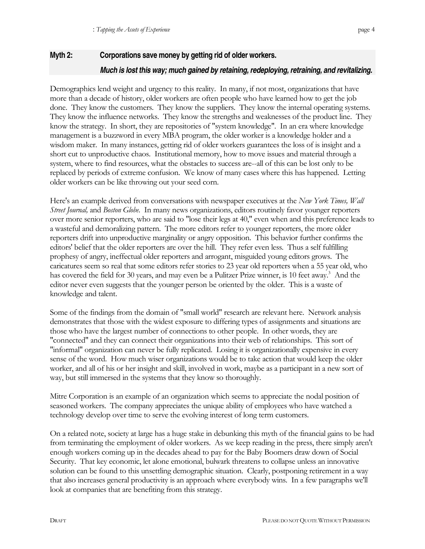Demographics lend weight and urgency to this reality. In many, if not most, organizations that have more than a decade of history, older workers are often people who have learned how to get the job done. They know the customers. They know the suppliers. They know the internal operating systems. They know the influence networks. They know the strengths and weaknesses of the product line. They know the strategy. In short, they are repositories of "system knowledge". In an era where knowledge management is a buzzword in every MBA program, the older worker is a knowledge holder and a wisdom maker. In many instances, getting rid of older workers guarantees the loss of is insight and a short cut to unproductive chaos. Institutional memory, how to move issues and material through a system, where to find resources, what the obstacles to success are--all of this can be lost only to be replaced by periods of extreme confusion. We know of many cases where this has happened. Letting older workers can be like throwing out your seed corn.

Here's an example derived from conversations with newspaper executives at the *New York Times, Wall Street Journal,* and *Boston Globe*. In many news organizations, editors routinely favor younger reporters over more senior reporters, who are said to "lose their legs at 40," even when and this preference leads to a wasteful and demoralizing pattern. The more editors refer to younger reporters, the more older reporters drift into unproductive marginality or angry opposition. This behavior further confirms the editors' belief that the older reporters are over the hill. They refer even less. Thus a self fulfilling prophesy of angry, ineffectual older reporters and arrogant, misguided young editors grows. The caricatures seem so real that some editors refer stories to 23 year old reporters when a 55 year old, who has covered the field for 30 years, and may even be a Pulitzer Prize winner, is 10 feet away.<sup>3</sup> And the editor never even suggests that the younger person be oriented by the older. This is a waste of knowledge and talent.

Some of the findings from the domain of "small world" research are relevant here. Network analysis demonstrates that those with the widest exposure to differing types of assignments and situations are those who have the largest number of connections to other people. In other words, they are "connected" and they can connect their organizations into their web of relationships. This sort of "informal" organization can never be fully replicated. Losing it is organizationally expensive in every sense of the word. How much wiser organizations would be to take action that would keep the older worker, and all of his or her insight and skill, involved in work, maybe as a participant in a new sort of way, but still immersed in the systems that they know so thoroughly.

Mitre Corporation is an example of an organization which seems to appreciate the nodal position of seasoned workers. The company appreciates the unique ability of employees who have watched a technology develop over time to serve the evolving interest of long term customers.

On a related note, society at large has a huge stake in debunking this myth of the financial gains to be had from terminating the employment of older workers. As we keep reading in the press, there simply aren't enough workers coming up in the decades ahead to pay for the Baby Boomers draw down of Social Security. That key economic, let alone emotional, bulwark threatens to collapse unless an innovative solution can be found to this unsettling demographic situation. Clearly, postponing retirement in a way that also increases general productivity is an approach where everybody wins. In a few paragraphs we'll look at companies that are benefiting from this strategy.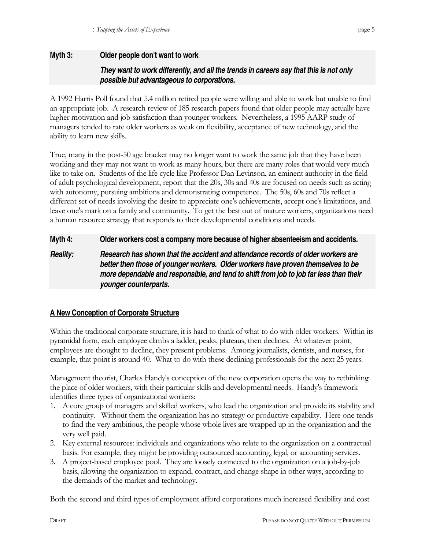## **Myth 3: Older people don't want to work**  *They want to work differently, and all the trends in careers say that this is not only possible but advantageous to corporations.*

A 1992 Harris Poll found that 5.4 million retired people were willing and able to work but unable to find an appropriate job. A research review of 185 research papers found that older people may actually have higher motivation and job satisfaction than younger workers. Nevertheless, a 1995 AARP study of managers tended to rate older workers as weak on flexibility, acceptance of new technology, and the ability to learn new skills.

True, many in the post-50 age bracket may no longer want to work the same job that they have been working and they may not want to work as many hours, but there are many roles that would very much like to take on. Students of the life cycle like Professor Dan Levinson, an eminent authority in the field of adult psychological development, report that the 20s, 30s and 40s are focused on needs such as acting with autonomy, pursuing ambitions and demonstrating competence. The 50s, 60s and 70s reflect a different set of needs involving the desire to appreciate one's achievements, accept one's limitations, and leave one's mark on a family and community. To get the best out of mature workers, organizations need a human resource strategy that responds to their developmental conditions and needs.

**Myth 4: Older workers cost a company more because of higher absenteeism and accidents.** 

*Reality: Research has shown that the accident and attendance records of older workers are better then those of younger workers. Older workers have proven themselves to be more dependable and responsible, and tend to shift from job to job far less than their younger counterparts.* 

## **A New Conception of Corporate Structure**

Within the traditional corporate structure, it is hard to think of what to do with older workers. Within its pyramidal form, each employee climbs a ladder, peaks, plateaus, then declines. At whatever point, employees are thought to decline, they present problems. Among journalists, dentists, and nurses, for example, that point is around 40. What to do with these declining professionals for the next 25 years.

Management theorist, Charles Handy's conception of the new corporation opens the way to rethinking the place of older workers, with their particular skills and developmental needs. Handy's framework identifies three types of organizational workers:

- 1. A core group of managers and skilled workers, who lead the organization and provide its stability and continuity. Without them the organization has no strategy or productive capability. Here one tends to find the very ambitious, the people whose whole lives are wrapped up in the organization and the very well paid.
- 2. Key external resources: individuals and organizations who relate to the organization on a contractual basis. For example, they might be providing outsourced accounting, legal, or accounting services.
- 3. A project-based employee pool. They are loosely connected to the organization on a job-by-job basis, allowing the organization to expand, contract, and change shape in other ways, according to the demands of the market and technology.

Both the second and third types of employment afford corporations much increased flexibility and cost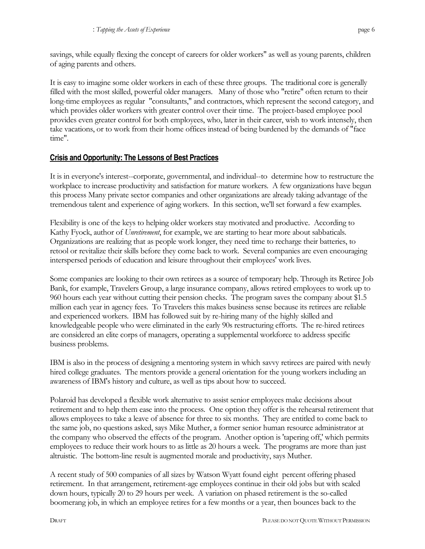It is easy to imagine some older workers in each of these three groups. The traditional core is generally filled with the most skilled, powerful older managers. Many of those who "retire" often return to their long-time employees as regular "consultants," and contractors, which represent the second category, and which provides older workers with greater control over their time. The project-based employee pool provides even greater control for both employees, who, later in their career, wish to work intensely, then take vacations, or to work from their home offices instead of being burdened by the demands of "face time".

## **Crisis and Opportunity: The Lessons of Best Practices**

It is in everyone's interest--corporate, governmental, and individual--to determine how to restructure the workplace to increase productivity and satisfaction for mature workers. A few organizations have begun this process Many private sector companies and other organizations are already taking advantage of the tremendous talent and experience of aging workers. In this section, we'll set forward a few examples.

Flexibility is one of the keys to helping older workers stay motivated and productive. According to Kathy Fyock, author of *Unretirement*, for example, we are starting to hear more about sabbaticals. Organizations are realizing that as people work longer, they need time to recharge their batteries, to retool or revitalize their skills before they come back to work. Several companies are even encouraging interspersed periods of education and leisure throughout their employees' work lives.

Some companies are looking to their own retirees as a source of temporary help. Through its Retiree Job Bank, for example, Travelers Group, a large insurance company, allows retired employees to work up to 960 hours each year without cutting their pension checks. The program saves the company about \$1.5 million each year in agency fees. To Travelers this makes business sense because its retirees are reliable and experienced workers. IBM has followed suit by re-hiring many of the highly skilled and knowledgeable people who were eliminated in the early 90s restructuring efforts. The re-hired retirees are considered an elite corps of managers, operating a supplemental workforce to address specific business problems.

IBM is also in the process of designing a mentoring system in which savvy retirees are paired with newly hired college graduates. The mentors provide a general orientation for the young workers including an awareness of IBM's history and culture, as well as tips about how to succeed.

Polaroid has developed a flexible work alternative to assist senior employees make decisions about retirement and to help them ease into the process. One option they offer is the rehearsal retirement that allows employees to take a leave of absence for three to six months. They are entitled to come back to the same job, no questions asked, says Mike Muther, a former senior human resource administrator at the company who observed the effects of the program. Another option is 'tapering off,' which permits employees to reduce their work hours to as little as 20 hours a week. The programs are more than just altruistic. The bottom-line result is augmented morale and productivity, says Muther.

A recent study of 500 companies of all sizes by Watson Wyatt found eight percent offering phased retirement. In that arrangement, retirement-age employees continue in their old jobs but with scaled down hours, typically 20 to 29 hours per week. A variation on phased retirement is the so-called boomerang job, in which an employee retires for a few months or a year, then bounces back to the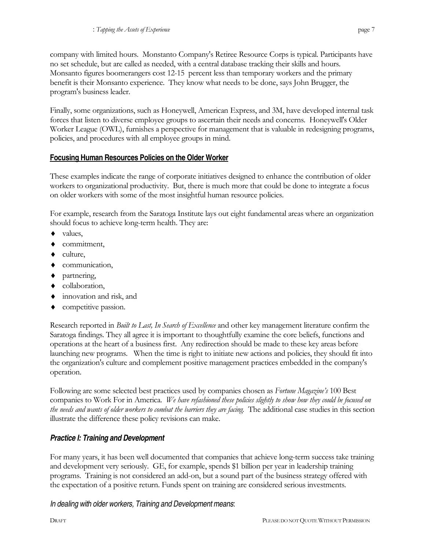company with limited hours. Monstanto Company's Retiree Resource Corps is typical. Participants have no set schedule, but are called as needed, with a central database tracking their skills and hours. Monsanto figures boomerangers cost 12-15 percent less than temporary workers and the primary benefit is their Monsanto experience. They know what needs to be done, says John Brugger, the program's business leader.

Finally, some organizations, such as Honeywell, American Express, and 3M, have developed internal task forces that listen to diverse employee groups to ascertain their needs and concerns. Honeywell's Older Worker League (OWL), furnishes a perspective for management that is valuable in redesigning programs, policies, and procedures with all employee groups in mind.

## **Focusing Human Resources Policies on the Older Worker**

These examples indicate the range of corporate initiatives designed to enhance the contribution of older workers to organizational productivity. But, there is much more that could be done to integrate a focus on older workers with some of the most insightful human resource policies.

For example, research from the Saratoga Institute lays out eight fundamental areas where an organization should focus to achieve long-term health. They are:

- values,
- commitment,
- ♦ culture,
- ♦ communication,
- ♦ partnering,
- ♦ collaboration,
- ♦ innovation and risk, and
- ♦ competitive passion.

Research reported in *Built to Last, In Search of Excellence* and other key management literature confirm the Saratoga findings. They all agree it is important to thoughtfully examine the core beliefs, functions and operations at the heart of a business first. Any redirection should be made to these key areas before launching new programs. When the time is right to initiate new actions and policies, they should fit into the organization's culture and complement positive management practices embedded in the company's operation.

Following are some selected best practices used by companies chosen as *Fortune Magazine's* 100 Best companies to Work For in America. *We have refashioned these policies slightly to show how they could be focused on the needs and wants of older workers to combat the barriers they are facing.* The additional case studies in this section illustrate the difference these policy revisions can make.

### *Practice I: Training and Development*

For many years, it has been well documented that companies that achieve long-term success take training and development very seriously. GE, for example, spends \$1 billion per year in leadership training programs. Training is not considered an add-on, but a sound part of the business strategy offered with the expectation of a positive return. Funds spent on training are considered serious investments.

### *In dealing with older workers, Training and Development means*: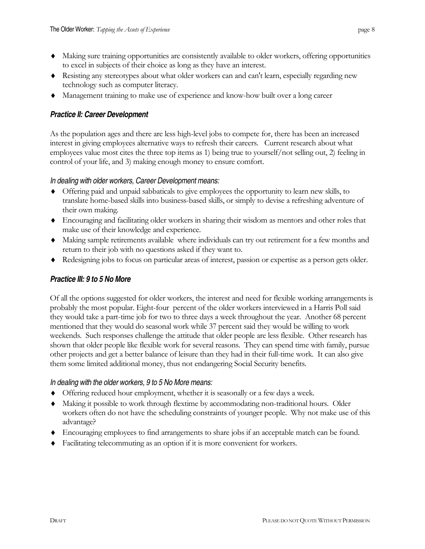- ♦ Making sure training opportunities are consistently available to older workers, offering opportunities to excel in subjects of their choice as long as they have an interest.
- ♦ Resisting any stereotypes about what older workers can and can't learn, especially regarding new technology such as computer literacy.
- ♦ Management training to make use of experience and know-how built over a long career

#### *Practice II: Career Development*

As the population ages and there are less high-level jobs to compete for, there has been an increased interest in giving employees alternative ways to refresh their careers. Current research about what employees value most cites the three top items as 1) being true to yourself/not selling out, 2) feeling in control of your life, and 3) making enough money to ensure comfort.

#### *In dealing with older workers, Career Development means:*

- ♦ Offering paid and unpaid sabbaticals to give employees the opportunity to learn new skills, to translate home-based skills into business-based skills, or simply to devise a refreshing adventure of their own making.
- ♦ Encouraging and facilitating older workers in sharing their wisdom as mentors and other roles that make use of their knowledge and experience.
- ♦ Making sample retirements available where individuals can try out retirement for a few months and return to their job with no questions asked if they want to.
- ♦ Redesigning jobs to focus on particular areas of interest, passion or expertise as a person gets older.

#### *Practice III: 9 to 5 No More*

Of all the options suggested for older workers, the interest and need for flexible working arrangements is probably the most popular. Eight-four percent of the older workers interviewed in a Harris Poll said they would take a part-time job for two to three days a week throughout the year. Another 68 percent mentioned that they would do seasonal work while 37 percent said they would be willing to work weekends. Such responses challenge the attitude that older people are less flexible. Other research has shown that older people like flexible work for several reasons. They can spend time with family, pursue other projects and get a better balance of leisure than they had in their full-time work. It can also give them some limited additional money, thus not endangering Social Security benefits.

#### *In dealing with the older workers, 9 to 5 No More means:*

- ♦ Offering reduced hour employment, whether it is seasonally or a few days a week.
- ♦ Making it possible to work through flextime by accommodating non-traditional hours. Older workers often do not have the scheduling constraints of younger people. Why not make use of this advantage?
- ♦ Encouraging employees to find arrangements to share jobs if an acceptable match can be found.
- ♦ Facilitating telecommuting as an option if it is more convenient for workers.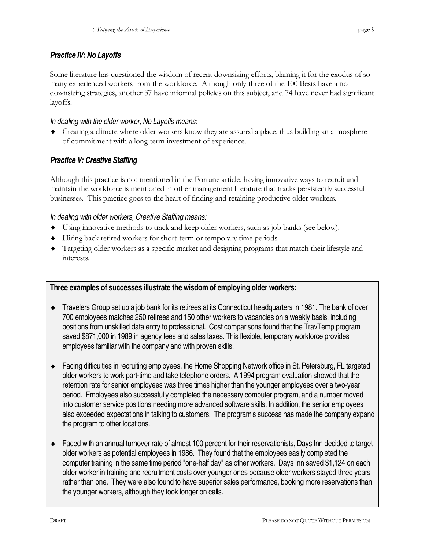Some literature has questioned the wisdom of recent downsizing efforts, blaming it for the exodus of so many experienced workers from the workforce. Although only three of the 100 Bests have a no downsizing strategies, another 37 have informal policies on this subject, and 74 have never had significant layoffs.

## *In dealing with the older worker, No Layoffs means:*

♦ Creating a climate where older workers know they are assured a place, thus building an atmosphere of commitment with a long-term investment of experience.

## *Practice V: Creative Staffing*

Although this practice is not mentioned in the Fortune article, having innovative ways to recruit and maintain the workforce is mentioned in other management literature that tracks persistently successful businesses. This practice goes to the heart of finding and retaining productive older workers.

## *In dealing with older workers, Creative Staffing means:*

- ♦ Using innovative methods to track and keep older workers, such as job banks (see below).
- ♦ Hiring back retired workers for short-term or temporary time periods.
- ♦ Targeting older workers as a specific market and designing programs that match their lifestyle and interests.

## **Three examples of successes illustrate the wisdom of employing older workers:**

- ♦ Travelers Group set up a job bank for its retirees at its Connecticut headquarters in 1981. The bank of over 700 employees matches 250 retirees and 150 other workers to vacancies on a weekly basis, including positions from unskilled data entry to professional. Cost comparisons found that the TravTemp program saved \$871,000 in 1989 in agency fees and sales taxes. This flexible, temporary workforce provides employees familiar with the company and with proven skills.
- ♦ Facing difficulties in recruiting employees, the Home Shopping Network office in St. Petersburg, FL targeted older workers to work part-time and take telephone orders. A 1994 program evaluation showed that the retention rate for senior employees was three times higher than the younger employees over a two-year period. Employees also successfully completed the necessary computer program, and a number moved into customer service positions needing more advanced software skills. In addition, the senior employees also exceeded expectations in talking to customers. The program's success has made the company expand the program to other locations.
- ♦ Faced with an annual turnover rate of almost 100 percent for their reservationists, Days Inn decided to target older workers as potential employees in 1986. They found that the employees easily completed the computer training in the same time period "one-half day" as other workers. Days Inn saved \$1,124 on each older worker in training and recruitment costs over younger ones because older workers stayed three years rather than one. They were also found to have superior sales performance, booking more reservations than the younger workers, although they took longer on calls.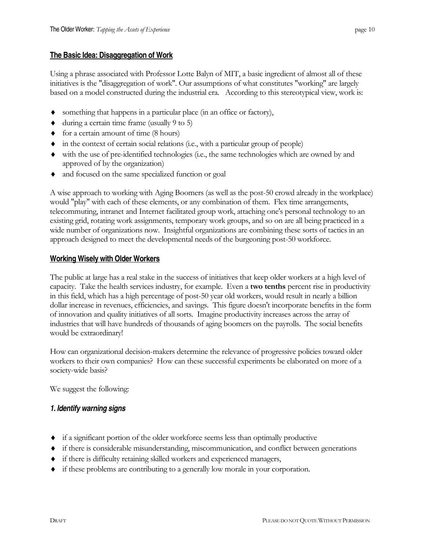Using a phrase associated with Professor Lotte Balyn of MIT, a basic ingredient of almost all of these initiatives is the "disaggregation of work". Our assumptions of what constitutes "working" are largely based on a model constructed during the industrial era. According to this stereotypical view, work is:

- ♦ something that happens in a particular place (in an office or factory),
- ♦ during a certain time frame (usually 9 to 5)
- ♦ for a certain amount of time (8 hours)
- $\bullet$  in the context of certain social relations (i.e., with a particular group of people)
- ♦ with the use of pre-identified technologies (i.e., the same technologies which are owned by and approved of by the organization)
- ♦ and focused on the same specialized function or goal

A wise approach to working with Aging Boomers (as well as the post-50 crowd already in the workplace) would "play" with each of these elements, or any combination of them. Flex time arrangements, telecommuting, intranet and Internet facilitated group work, attaching one's personal technology to an existing grid, rotating work assignments, temporary work groups, and so on are all being practiced in a wide number of organizations now. Insightful organizations are combining these sorts of tactics in an approach designed to meet the developmental needs of the burgeoning post-50 workforce.

### **Working Wisely with Older Workers**

The public at large has a real stake in the success of initiatives that keep older workers at a high level of capacity. Take the health services industry, for example. Even a **two tenths** percent rise in productivity in this field, which has a high percentage of post-50 year old workers, would result in nearly a billion dollar increase in revenues, efficiencies, and savings. This figure doesn't incorporate benefits in the form of innovation and quality initiatives of all sorts. Imagine productivity increases across the array of industries that will have hundreds of thousands of aging boomers on the payrolls. The social benefits would be extraordinary!

How can organizational decision-makers determine the relevance of progressive policies toward older workers to their own companies? How can these successful experiments be elaborated on more of a society-wide basis?

We suggest the following:

### *1. Identify warning signs*

- ♦ if a significant portion of the older workforce seems less than optimally productive
- ♦ if there is considerable misunderstanding, miscommunication, and conflict between generations
- ♦ if there is difficulty retaining skilled workers and experienced managers,
- ♦ if these problems are contributing to a generally low morale in your corporation.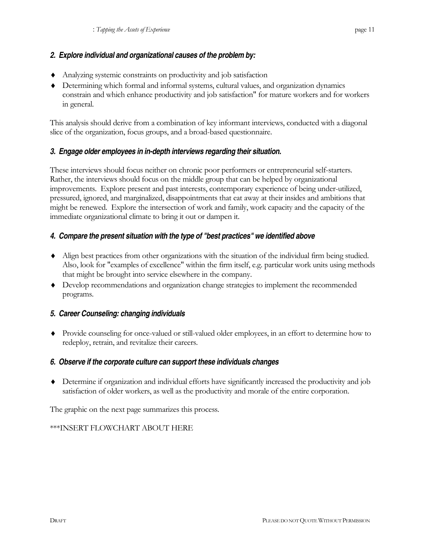## *2. Explore individual and organizational causes of the problem by:*

- ♦ Analyzing systemic constraints on productivity and job satisfaction
- ♦ Determining which formal and informal systems, cultural values, and organization dynamics constrain and which enhance productivity and job satisfaction" for mature workers and for workers in general.

This analysis should derive from a combination of key informant interviews, conducted with a diagonal slice of the organization, focus groups, and a broad-based questionnaire.

### *3. Engage older employees in in-depth interviews regarding their situation.*

These interviews should focus neither on chronic poor performers or entrepreneurial self-starters. Rather, the interviews should focus on the middle group that can be helped by organizational improvements. Explore present and past interests, contemporary experience of being under-utilized, pressured, ignored, and marginalized, disappointments that eat away at their insides and ambitions that might be renewed. Explore the intersection of work and family, work capacity and the capacity of the immediate organizational climate to bring it out or dampen it.

## *4. Compare the present situation with the type of "best practices" we identified above*

- ♦ Align best practices from other organizations with the situation of the individual firm being studied. Also, look for "examples of excellence" within the firm itself, e.g. particular work units using methods that might be brought into service elsewhere in the company.
- ♦ Develop recommendations and organization change strategies to implement the recommended programs.

## *5. Career Counseling: changing individuals*

♦ Provide counseling for once-valued or still-valued older employees, in an effort to determine how to redeploy, retrain, and revitalize their careers.

### *6. Observe if the corporate culture can support these individuals changes*

♦ Determine if organization and individual efforts have significantly increased the productivity and job satisfaction of older workers, as well as the productivity and morale of the entire corporation.

The graphic on the next page summarizes this process.

### \*\*\*INSERT FLOWCHART ABOUT HERE